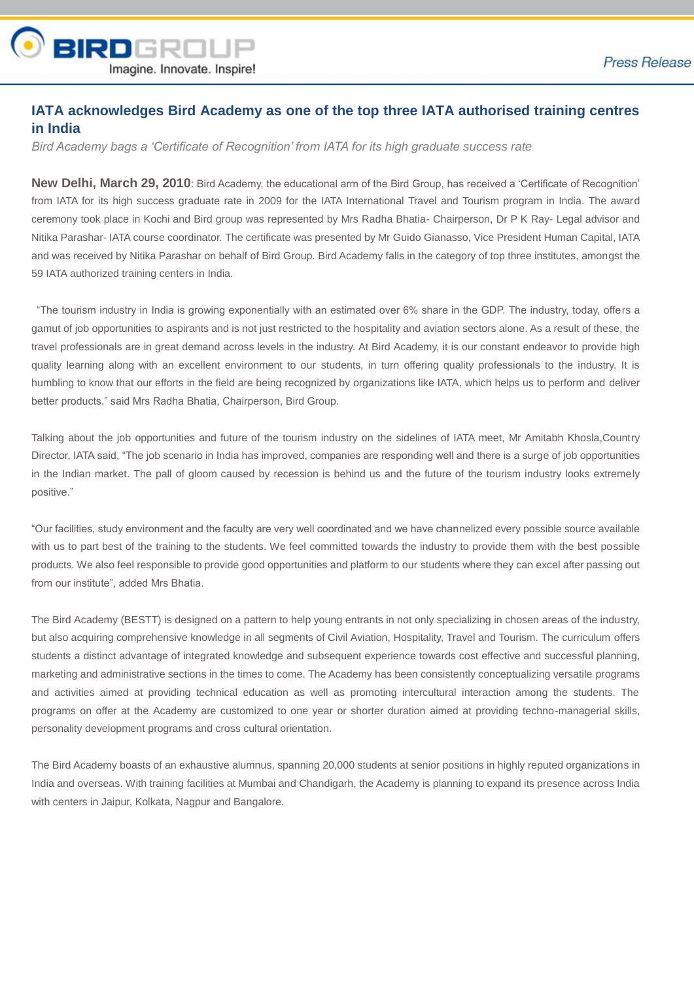

## **IATA acknowledges Bird Academy as one of the top three IATA authorised training centres in India**

*Bird Academy bags a 'Certificate of Recognition' from IATA for its high graduate success rate*

**New Delhi, March 29, 2010**: Bird Academy, the educational arm of the Bird Group, has received a 'Certificate of Recognition' from IATA for its high success graduate rate in 2009 for the IATA International Travel and Tourism program in India. The award ceremony took place in Kochi and Bird group was represented by Mrs Radha Bhatia- Chairperson, Dr P K Ray- Legal advisor and Nitika Parashar- IATA course coordinator. The certificate was presented by Mr Guido Gianasso, Vice President Human Capital, IATA and was received by Nitika Parashar on behalf of Bird Group. Bird Academy falls in the category of top three institutes, amongst the 59 IATA authorized training centers in India.

"The tourism industry in India is growing exponentially with an estimated over 6% share in the GDP. The industry, today, offers a gamut of job opportunities to aspirants and is not just restricted to the hospitality and aviation sectors alone. As a result of these, the travel professionals are in great demand across levels in the industry. At Bird Academy, it is our constant endeavor to provide high quality learning along with an excellent environment to our students, in turn offering quality professionals to the industry. It is humbling to know that our efforts in the field are being recognized by organizations like IATA, which helps us to perform and deliver better products." said Mrs Radha Bhatia, Chairperson, Bird Group.

Talking about the job opportunities and future of the tourism industry on the sidelines of IATA meet, Mr Amitabh Khosla,Country Director, IATA said, "The job scenario in India has improved, companies are responding well and there is a surge of job opportunities in the Indian market. The pall of gloom caused by recession is behind us and the future of the tourism industry looks extremely positive."

"Our facilities, study environment and the faculty are very well coordinated and we have channelized every possible source available with us to part best of the training to the students. We feel committed towards the industry to provide them with the best possible products. We also feel responsible to provide good opportunities and platform to our students where they can excel after passing out from our institute", added Mrs Bhatia.

The Bird Academy (BESTT) is designed on a pattern to help young entrants in not only specializing in chosen areas of the industry, but also acquiring comprehensive knowledge in all segments of Civil Aviation, Hospitality, Travel and Tourism. The curriculum offers students a distinct advantage of integrated knowledge and subsequent experience towards cost effective and successful planning, marketing and administrative sections in the times to come. The Academy has been consistently conceptualizing versatile programs and activities aimed at providing technical education as well as promoting intercultural interaction among the students. The programs on offer at the Academy are customized to one year or shorter duration aimed at providing techno-managerial skills, personality development programs and cross cultural orientation.

The Bird Academy boasts of an exhaustive alumnus, spanning 20,000 students at senior positions in highly reputed organizations in India and overseas. With training facilities at Mumbai and Chandigarh, the Academy is planning to expand its presence across India with centers in Jaipur, Kolkata, Nagpur and Bangalore.